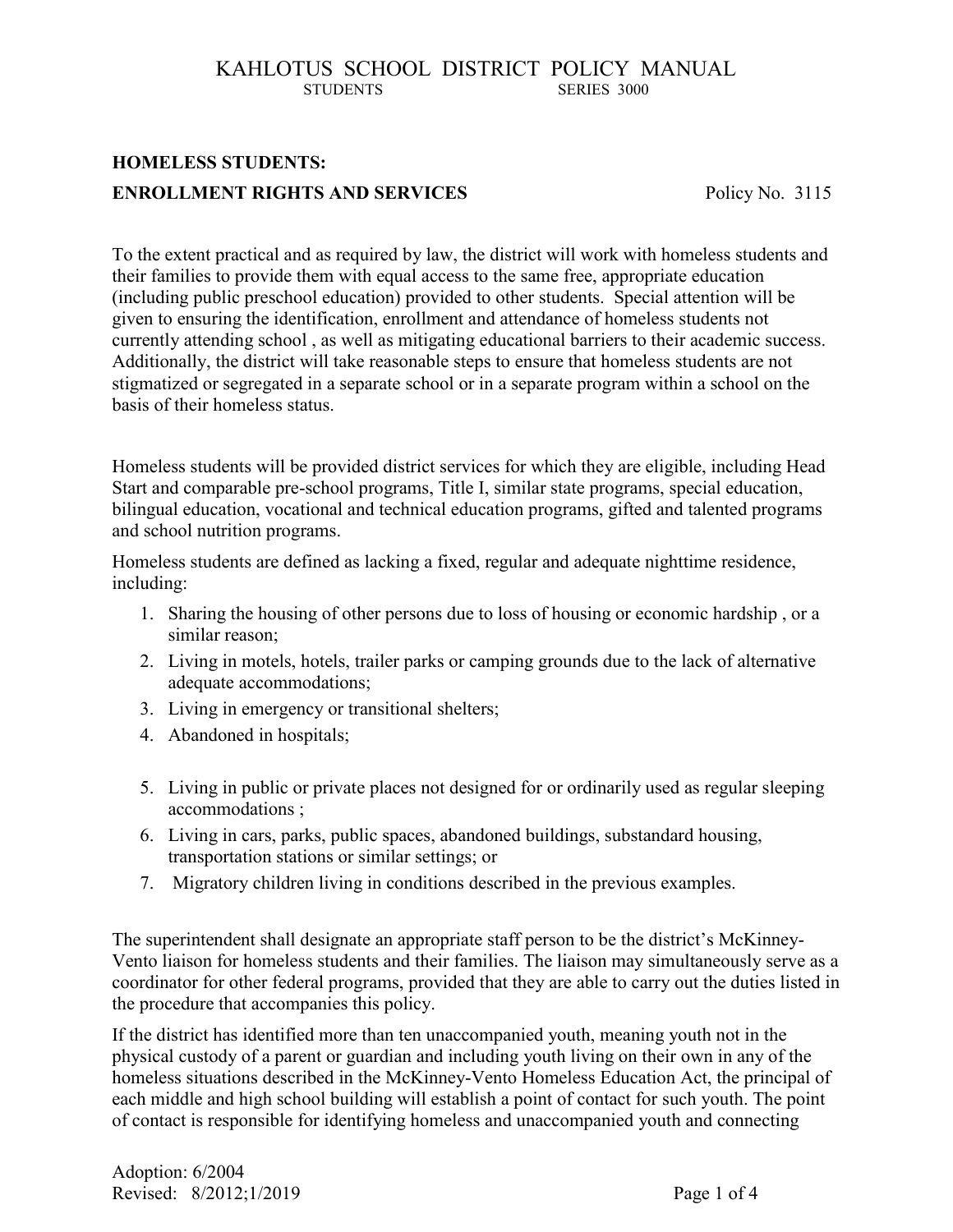# **HOMELESS STUDENTS: ENROLLMENT RIGHTS AND SERVICES** Policy No. 3115

To the extent practical and as required by law, the district will work with homeless students and their families to provide them with equal access to the same free, appropriate education (including public preschool education) provided to other students. Special attention will be given to ensuring the identification, enrollment and attendance of homeless students not currently attending school , as well as mitigating educational barriers to their academic success. Additionally, the district will take reasonable steps to ensure that homeless students are not stigmatized or segregated in a separate school or in a separate program within a school on the basis of their homeless status.

Homeless students will be provided district services for which they are eligible, including Head Start and comparable pre-school programs, Title I, similar state programs, special education, bilingual education, vocational and technical education programs, gifted and talented programs and school nutrition programs.

Homeless students are defined as lacking a fixed, regular and adequate nighttime residence, including:

- 1. Sharing the housing of other persons due to loss of housing or economic hardship , or a similar reason;
- 2. Living in motels, hotels, trailer parks or camping grounds due to the lack of alternative adequate accommodations;
- 3. Living in emergency or transitional shelters;
- 4. Abandoned in hospitals;
- 5. Living in public or private places not designed for or ordinarily used as regular sleeping accommodations ;
- 6. Living in cars, parks, public spaces, abandoned buildings, substandard housing, transportation stations or similar settings; or
- 7. Migratory children living in conditions described in the previous examples.

The superintendent shall designate an appropriate staff person to be the district's McKinney-Vento liaison for homeless students and their families. The liaison may simultaneously serve as a coordinator for other federal programs, provided that they are able to carry out the duties listed in the procedure that accompanies this policy.

If the district has identified more than ten unaccompanied youth, meaning youth not in the physical custody of a parent or guardian and including youth living on their own in any of the homeless situations described in the McKinney-Vento Homeless Education Act, the principal of each middle and high school building will establish a point of contact for such youth. The point of contact is responsible for identifying homeless and unaccompanied youth and connecting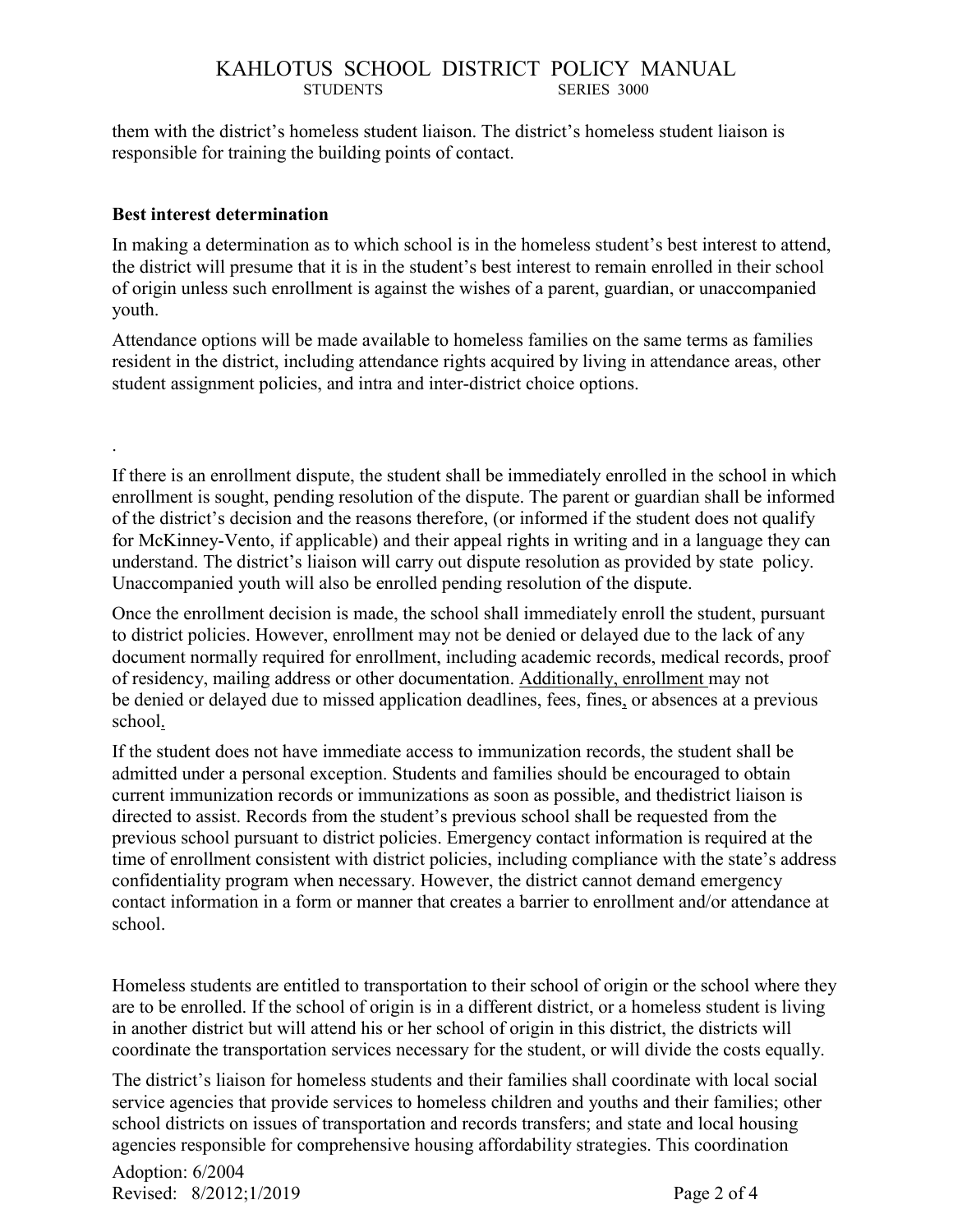them with the district's homeless student liaison. The district's homeless student liaison is responsible for training the building points of contact.

#### **Best interest determination**

.

In making a determination as to which school is in the homeless student's best interest to attend, the district will presume that it is in the student's best interest to remain enrolled in their school of origin unless such enrollment is against the wishes of a parent, guardian, or unaccompanied youth.

Attendance options will be made available to homeless families on the same terms as families resident in the district, including attendance rights acquired by living in attendance areas, other student assignment policies, and intra and inter-district choice options.

If there is an enrollment dispute, the student shall be immediately enrolled in the school in which enrollment is sought, pending resolution of the dispute. The parent or guardian shall be informed of the district's decision and the reasons therefore, (or informed if the student does not qualify for McKinney-Vento, if applicable) and their appeal rights in writing and in a language they can understand. The district's liaison will carry out dispute resolution as provided by state policy. Unaccompanied youth will also be enrolled pending resolution of the dispute.

Once the enrollment decision is made, the school shall immediately enroll the student, pursuant to district policies. However, enrollment may not be denied or delayed due to the lack of any document normally required for enrollment, including academic records, medical records, proof of residency, mailing address or other documentation. Additionally, enrollment may not be denied or delayed due to missed application deadlines, fees, fines, or absences at a previous school.

If the student does not have immediate access to immunization records, the student shall be admitted under a personal exception. Students and families should be encouraged to obtain current immunization records or immunizations as soon as possible, and thedistrict liaison is directed to assist. Records from the student's previous school shall be requested from the previous school pursuant to district policies. Emergency contact information is required at the time of enrollment consistent with district policies, including compliance with the state's address confidentiality program when necessary. However, the district cannot demand emergency contact information in a form or manner that creates a barrier to enrollment and/or attendance at school.

Homeless students are entitled to transportation to their school of origin or the school where they are to be enrolled. If the school of origin is in a different district, or a homeless student is living in another district but will attend his or her school of origin in this district, the districts will coordinate the transportation services necessary for the student, or will divide the costs equally.

The district's liaison for homeless students and their families shall coordinate with local social service agencies that provide services to homeless children and youths and their families; other school districts on issues of transportation and records transfers; and state and local housing agencies responsible for comprehensive housing affordability strategies. This coordination

Adoption: 6/2004 Revised: 8/2012;1/2019 Page 2 of 4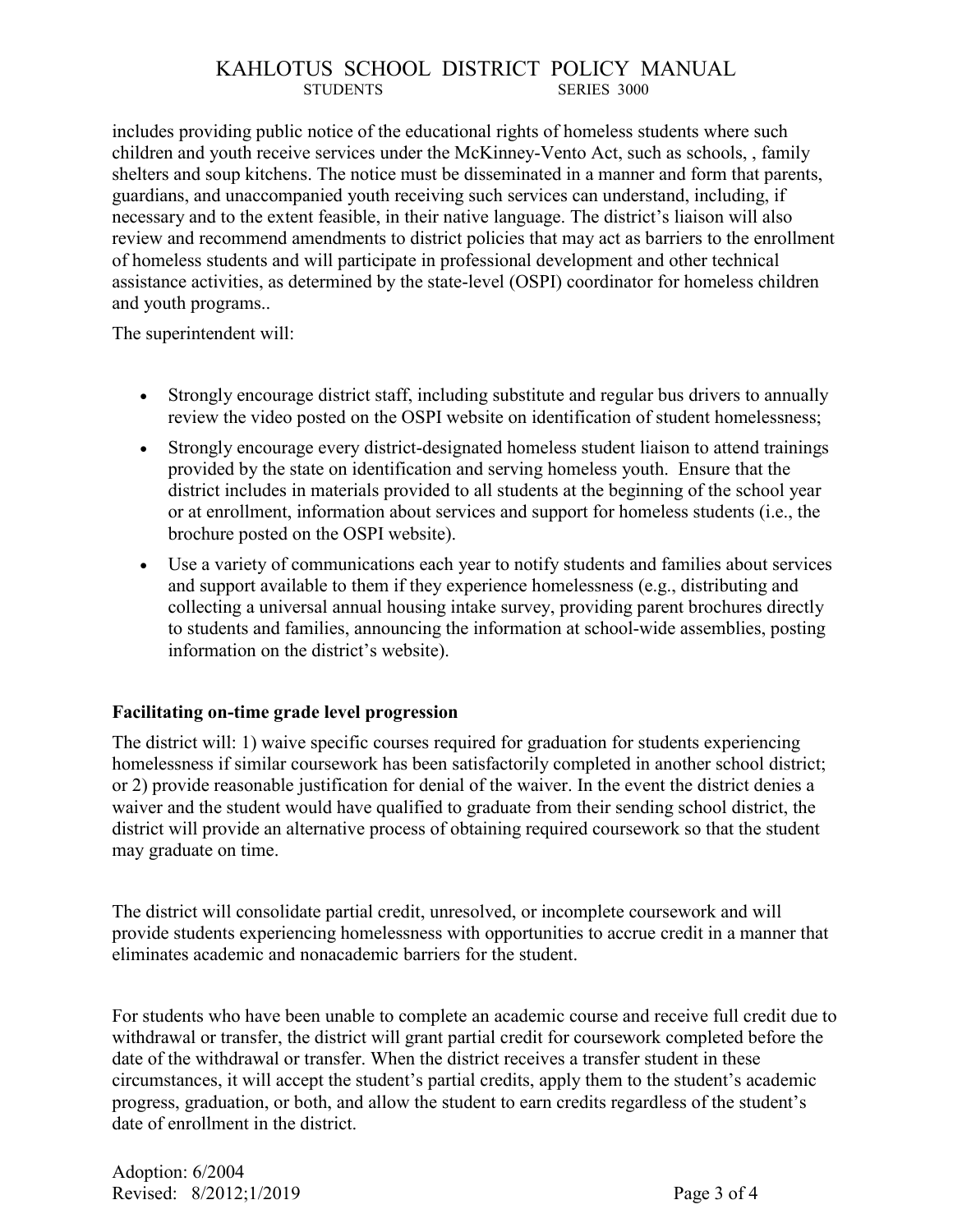includes providing public notice of the educational rights of homeless students where such children and youth receive services under the McKinney-Vento Act, such as schools, , family shelters and soup kitchens. The notice must be disseminated in a manner and form that parents, guardians, and unaccompanied youth receiving such services can understand, including, if necessary and to the extent feasible, in their native language. The district's liaison will also review and recommend amendments to district policies that may act as barriers to the enrollment of homeless students and will participate in professional development and other technical assistance activities, as determined by the state-level (OSPI) coordinator for homeless children and youth programs..

The superintendent will:

- Strongly encourage district staff, including substitute and regular bus drivers to annually review the video posted on the OSPI website on identification of student homelessness;
- Strongly encourage every district-designated homeless student liaison to attend trainings provided by the state on identification and serving homeless youth. Ensure that the district includes in materials provided to all students at the beginning of the school year or at enrollment, information about services and support for homeless students (i.e., the brochure posted on the OSPI website).
- Use a variety of communications each year to notify students and families about services and support available to them if they experience homelessness (e.g., distributing and collecting a universal annual housing intake survey, providing parent brochures directly to students and families, announcing the information at school-wide assemblies, posting information on the district's website).

#### **Facilitating on-time grade level progression**

The district will: 1) waive specific courses required for graduation for students experiencing homelessness if similar coursework has been satisfactorily completed in another school district; or 2) provide reasonable justification for denial of the waiver. In the event the district denies a waiver and the student would have qualified to graduate from their sending school district, the district will provide an alternative process of obtaining required coursework so that the student may graduate on time.

The district will consolidate partial credit, unresolved, or incomplete coursework and will provide students experiencing homelessness with opportunities to accrue credit in a manner that eliminates academic and nonacademic barriers for the student.

For students who have been unable to complete an academic course and receive full credit due to withdrawal or transfer, the district will grant partial credit for coursework completed before the date of the withdrawal or transfer. When the district receives a transfer student in these circumstances, it will accept the student's partial credits, apply them to the student's academic progress, graduation, or both, and allow the student to earn credits regardless of the student's date of enrollment in the district.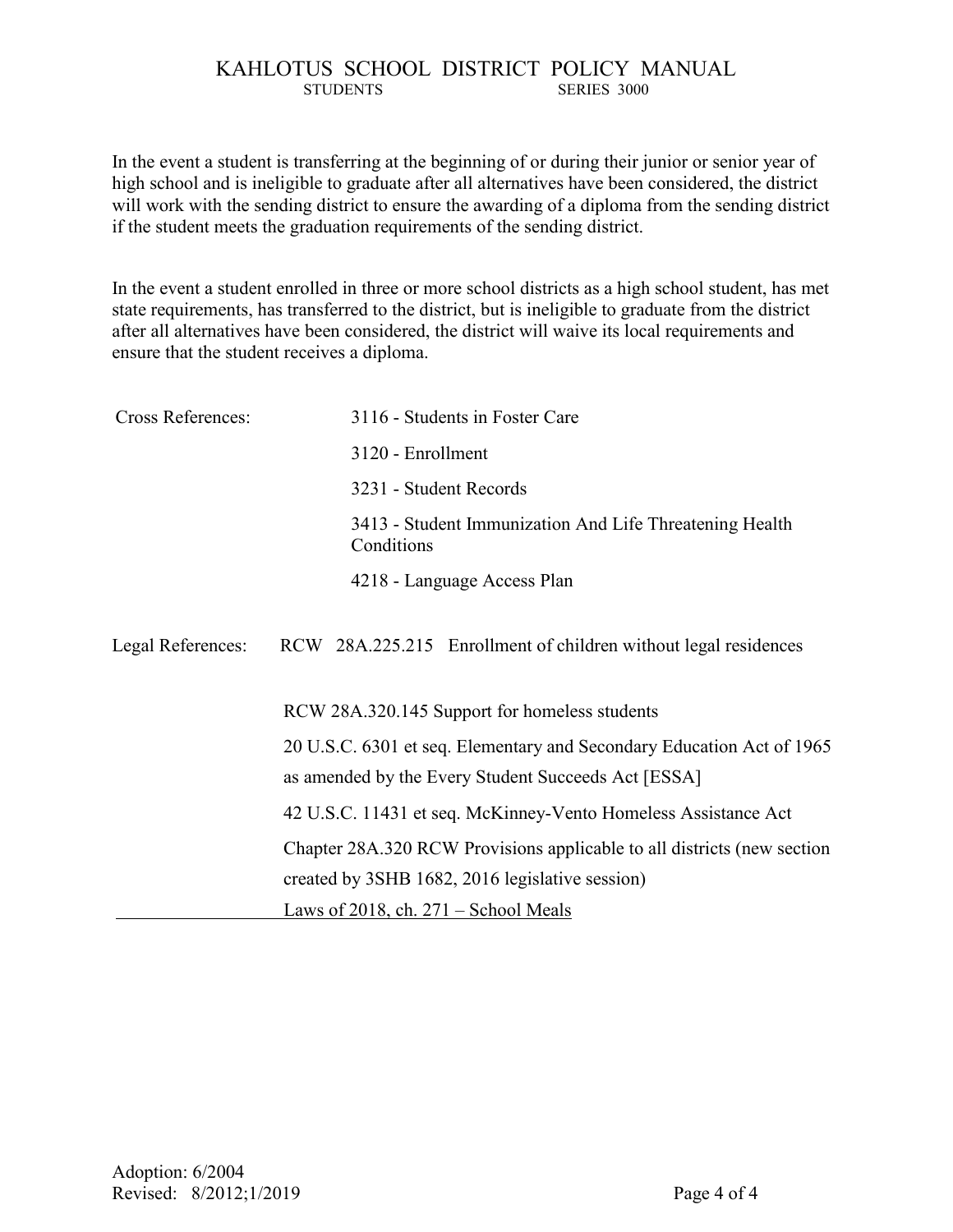In the event a student is transferring at the beginning of or during their junior or senior year of high school and is ineligible to graduate after all alternatives have been considered, the district will work with the sending district to ensure the awarding of a diploma from the sending district if the student meets the graduation requirements of the sending district.

In the event a student enrolled in three or more school districts as a high school student, has met state requirements, has transferred to the district, but is ineligible to graduate from the district after all alternatives have been considered, the district will waive its local requirements and ensure that the student receives a diploma.

| <b>Cross References:</b> | 3116 - Students in Foster Care                                          |
|--------------------------|-------------------------------------------------------------------------|
|                          | 3120 - Enrollment                                                       |
|                          | 3231 - Student Records                                                  |
|                          | 3413 - Student Immunization And Life Threatening Health<br>Conditions   |
|                          | 4218 - Language Access Plan                                             |
| Legal References:        | RCW 28A.225.215 Enrollment of children without legal residences         |
|                          | RCW 28A.320.145 Support for homeless students                           |
|                          | 20 U.S.C. 6301 et seq. Elementary and Secondary Education Act of 1965   |
|                          | as amended by the Every Student Succeeds Act [ESSA]                     |
|                          | 42 U.S.C. 11431 et seq. McKinney-Vento Homeless Assistance Act          |
|                          | Chapter 28A.320 RCW Provisions applicable to all districts (new section |
|                          | created by 3SHB 1682, 2016 legislative session)                         |
|                          | Laws of 2018, ch. $271$ – School Meals                                  |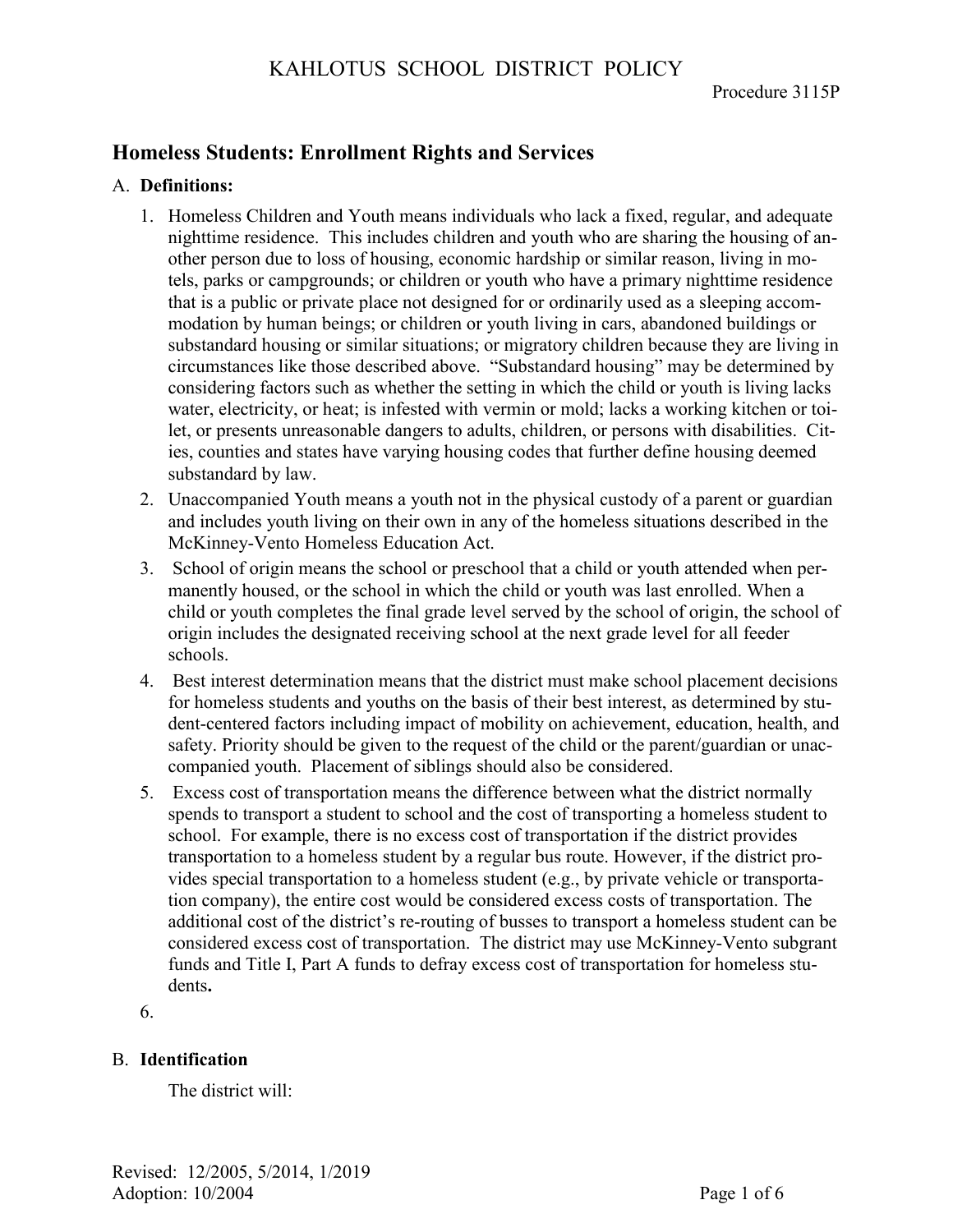# **Homeless Students: Enrollment Rights and Services**

#### A. **Definitions:**

- 1. Homeless Children and Youth means individuals who lack a fixed, regular, and adequate nighttime residence. This includes children and youth who are sharing the housing of another person due to loss of housing, economic hardship or similar reason, living in motels, parks or campgrounds; or children or youth who have a primary nighttime residence that is a public or private place not designed for or ordinarily used as a sleeping accommodation by human beings; or children or youth living in cars, abandoned buildings or substandard housing or similar situations; or migratory children because they are living in circumstances like those described above. "Substandard housing" may be determined by considering factors such as whether the setting in which the child or youth is living lacks water, electricity, or heat; is infested with vermin or mold; lacks a working kitchen or toilet, or presents unreasonable dangers to adults, children, or persons with disabilities. Cities, counties and states have varying housing codes that further define housing deemed substandard by law.
- 2. Unaccompanied Youth means a youth not in the physical custody of a parent or guardian and includes youth living on their own in any of the homeless situations described in the McKinney-Vento Homeless Education Act.
- 3. School of origin means the school or preschool that a child or youth attended when permanently housed, or the school in which the child or youth was last enrolled. When a child or youth completes the final grade level served by the school of origin, the school of origin includes the designated receiving school at the next grade level for all feeder schools.
- 4. Best interest determination means that the district must make school placement decisions for homeless students and youths on the basis of their best interest, as determined by student-centered factors including impact of mobility on achievement, education, health, and safety. Priority should be given to the request of the child or the parent/guardian or unaccompanied youth. Placement of siblings should also be considered.
- 5. Excess cost of transportation means the difference between what the district normally spends to transport a student to school and the cost of transporting a homeless student to school. For example, there is no excess cost of transportation if the district provides transportation to a homeless student by a regular bus route. However, if the district provides special transportation to a homeless student (e.g., by private vehicle or transportation company), the entire cost would be considered excess costs of transportation. The additional cost of the district's re-routing of busses to transport a homeless student can be considered excess cost of transportation. The district may use McKinney-Vento subgrant funds and Title I, Part A funds to defray excess cost of transportation for homeless students**.**

6.

#### B. **Identification**

The district will: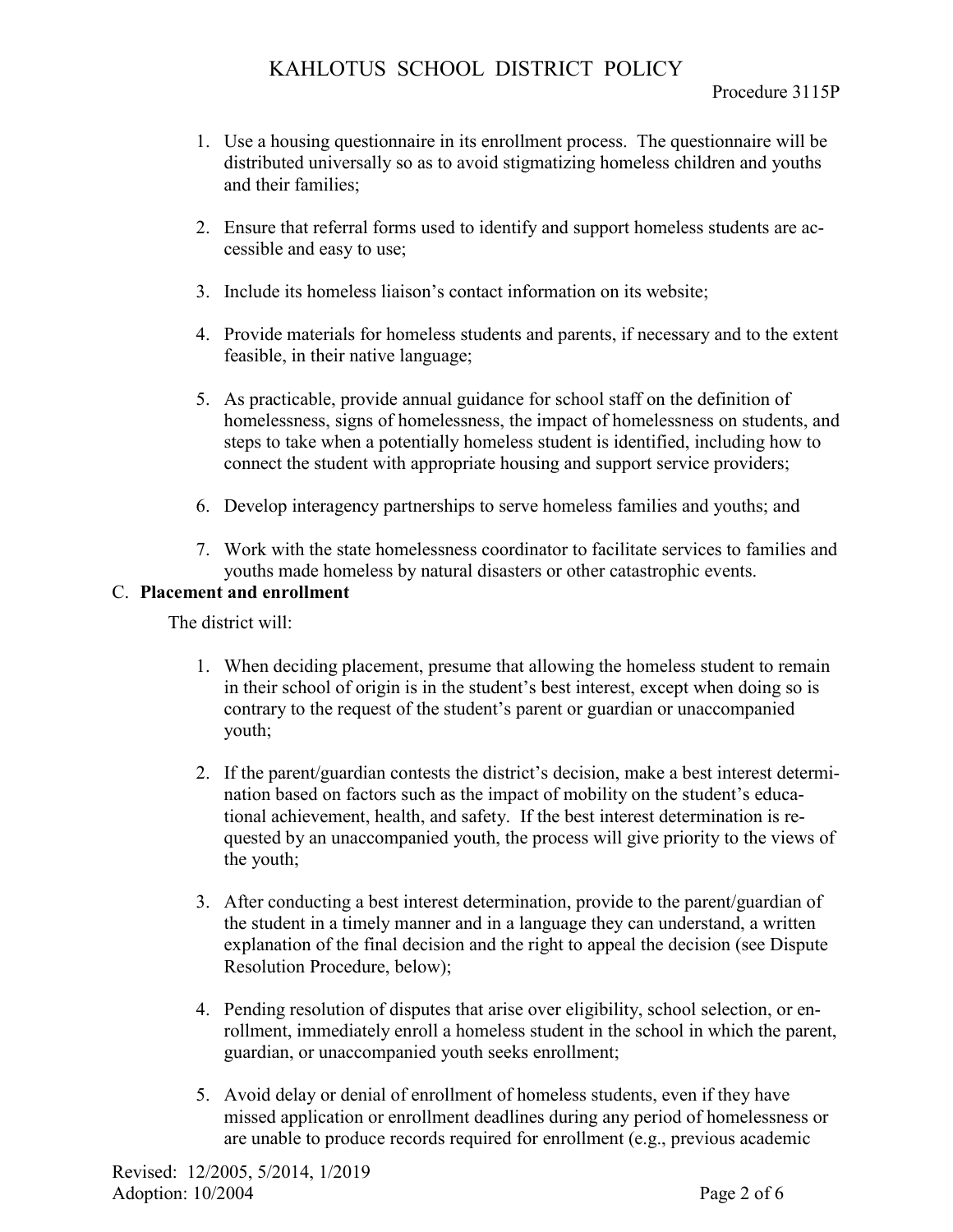- 1. Use a housing questionnaire in its enrollment process. The questionnaire will be distributed universally so as to avoid stigmatizing homeless children and youths and their families;
- 2. Ensure that referral forms used to identify and support homeless students are accessible and easy to use;
- 3. Include its homeless liaison's contact information on its website;
- 4. Provide materials for homeless students and parents, if necessary and to the extent feasible, in their native language;
- 5. As practicable, provide annual guidance for school staff on the definition of homelessness, signs of homelessness, the impact of homelessness on students, and steps to take when a potentially homeless student is identified, including how to connect the student with appropriate housing and support service providers;
- 6. Develop interagency partnerships to serve homeless families and youths; and
- 7. Work with the state homelessness coordinator to facilitate services to families and youths made homeless by natural disasters or other catastrophic events.

#### C. **Placement and enrollment**

The district will:

- 1. When deciding placement, presume that allowing the homeless student to remain in their school of origin is in the student's best interest, except when doing so is contrary to the request of the student's parent or guardian or unaccompanied youth;
- 2. If the parent/guardian contests the district's decision, make a best interest determination based on factors such as the impact of mobility on the student's educational achievement, health, and safety. If the best interest determination is requested by an unaccompanied youth, the process will give priority to the views of the youth;
- 3. After conducting a best interest determination, provide to the parent/guardian of the student in a timely manner and in a language they can understand, a written explanation of the final decision and the right to appeal the decision (see Dispute Resolution Procedure, below);
- 4. Pending resolution of disputes that arise over eligibility, school selection, or enrollment, immediately enroll a homeless student in the school in which the parent, guardian, or unaccompanied youth seeks enrollment;
- 5. Avoid delay or denial of enrollment of homeless students, even if they have missed application or enrollment deadlines during any period of homelessness or are unable to produce records required for enrollment (e.g., previous academic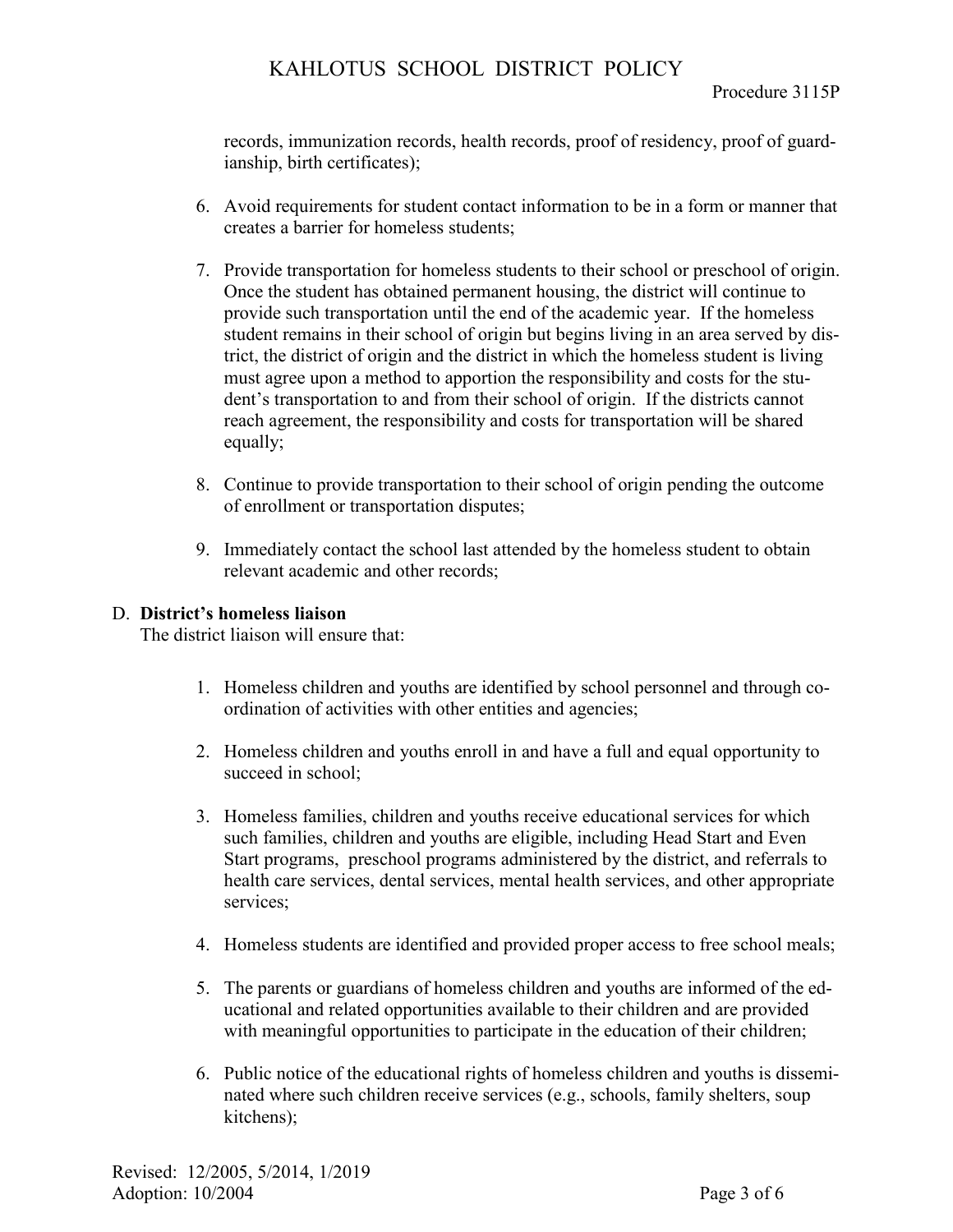records, immunization records, health records, proof of residency, proof of guardianship, birth certificates);

- 6. Avoid requirements for student contact information to be in a form or manner that creates a barrier for homeless students;
- 7. Provide transportation for homeless students to their school or preschool of origin. Once the student has obtained permanent housing, the district will continue to provide such transportation until the end of the academic year. If the homeless student remains in their school of origin but begins living in an area served by district, the district of origin and the district in which the homeless student is living must agree upon a method to apportion the responsibility and costs for the student's transportation to and from their school of origin. If the districts cannot reach agreement, the responsibility and costs for transportation will be shared equally;
- 8. Continue to provide transportation to their school of origin pending the outcome of enrollment or transportation disputes;
- 9. Immediately contact the school last attended by the homeless student to obtain relevant academic and other records;

#### D. **District's homeless liaison**

The district liaison will ensure that:

- 1. Homeless children and youths are identified by school personnel and through coordination of activities with other entities and agencies;
- 2. Homeless children and youths enroll in and have a full and equal opportunity to succeed in school;
- 3. Homeless families, children and youths receive educational services for which such families, children and youths are eligible, including Head Start and Even Start programs, preschool programs administered by the district, and referrals to health care services, dental services, mental health services, and other appropriate services;
- 4. Homeless students are identified and provided proper access to free school meals;
- 5. The parents or guardians of homeless children and youths are informed of the educational and related opportunities available to their children and are provided with meaningful opportunities to participate in the education of their children;
- 6. Public notice of the educational rights of homeless children and youths is disseminated where such children receive services (e.g., schools, family shelters, soup kitchens);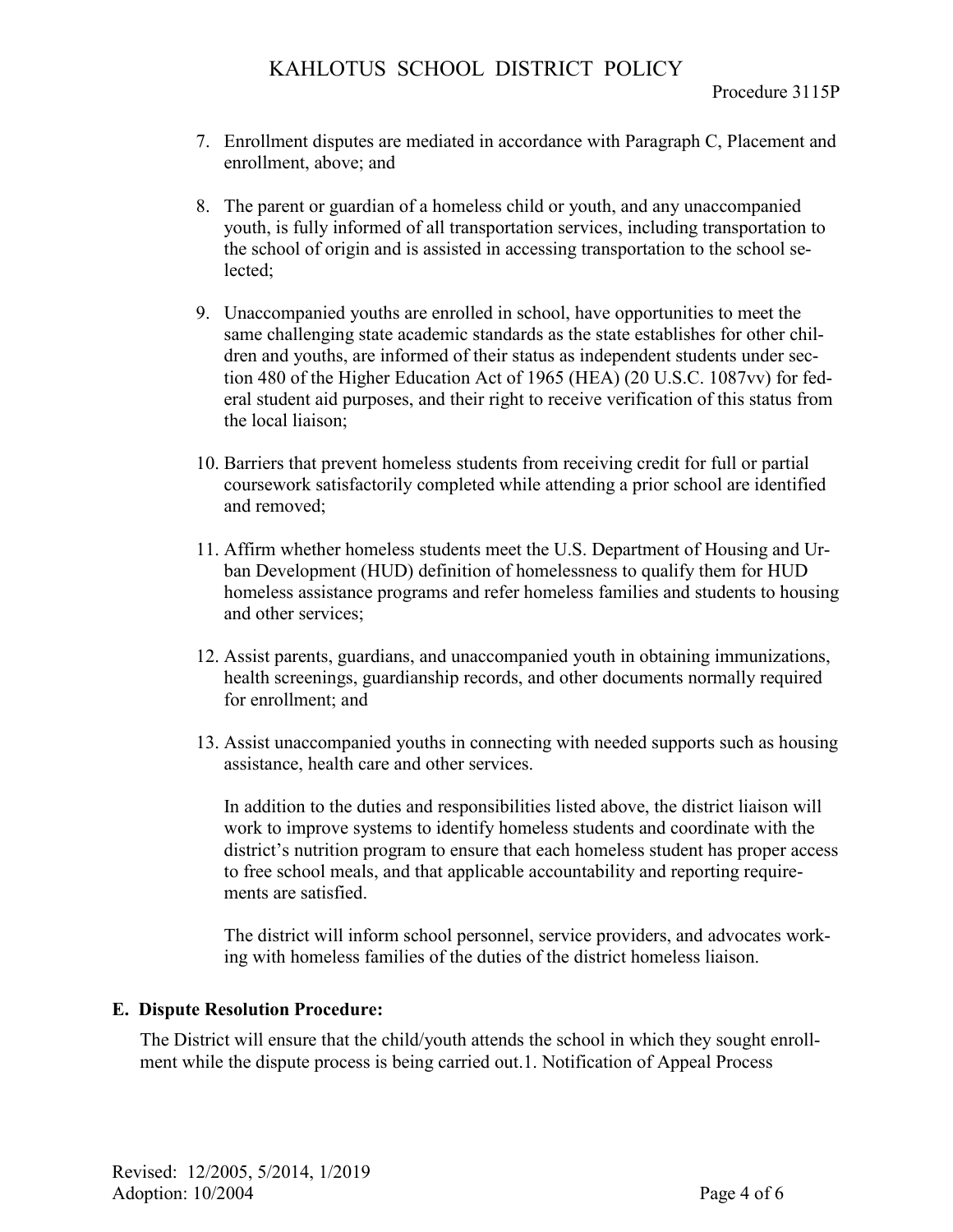- 7. Enrollment disputes are mediated in accordance with Paragraph C, Placement and enrollment, above; and
- 8. The parent or guardian of a homeless child or youth, and any unaccompanied youth, is fully informed of all transportation services, including transportation to the school of origin and is assisted in accessing transportation to the school selected;
- 9. Unaccompanied youths are enrolled in school, have opportunities to meet the same challenging state academic standards as the state establishes for other children and youths, are informed of their status as independent students under section 480 of the Higher Education Act of 1965 (HEA) (20 U.S.C. 1087vv) for federal student aid purposes, and their right to receive verification of this status from the local liaison;
- 10. Barriers that prevent homeless students from receiving credit for full or partial coursework satisfactorily completed while attending a prior school are identified and removed;
- 11. Affirm whether homeless students meet the U.S. Department of Housing and Urban Development (HUD) definition of homelessness to qualify them for HUD homeless assistance programs and refer homeless families and students to housing and other services;
- 12. Assist parents, guardians, and unaccompanied youth in obtaining immunizations, health screenings, guardianship records, and other documents normally required for enrollment; and
- 13. Assist unaccompanied youths in connecting with needed supports such as housing assistance, health care and other services.

In addition to the duties and responsibilities listed above, the district liaison will work to improve systems to identify homeless students and coordinate with the district's nutrition program to ensure that each homeless student has proper access to free school meals, and that applicable accountability and reporting requirements are satisfied.

The district will inform school personnel, service providers, and advocates working with homeless families of the duties of the district homeless liaison.

#### **E. Dispute Resolution Procedure:**

The District will ensure that the child/youth attends the school in which they sought enrollment while the dispute process is being carried out.1. Notification of Appeal Process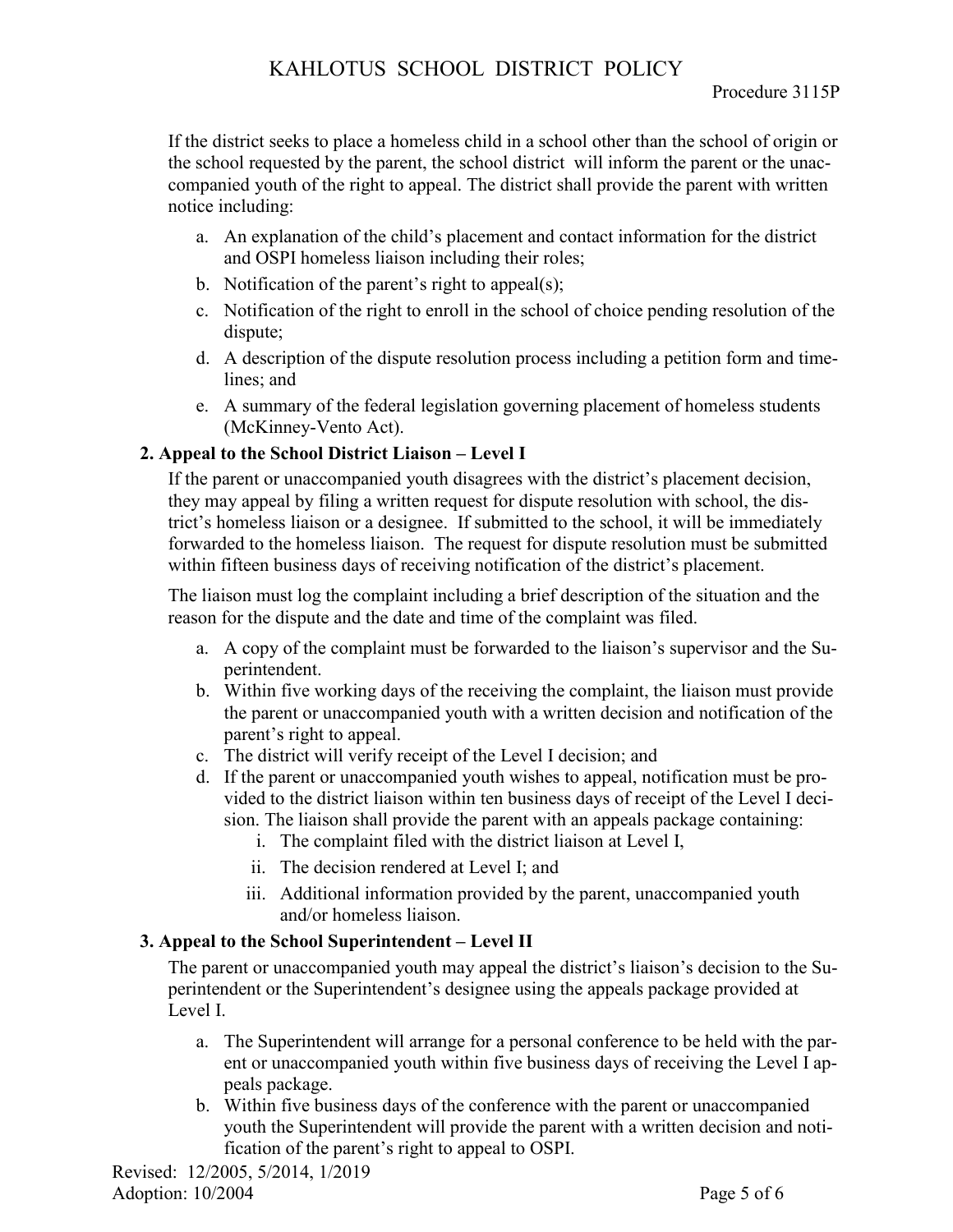If the district seeks to place a homeless child in a school other than the school of origin or the school requested by the parent, the school district will inform the parent or the unaccompanied youth of the right to appeal. The district shall provide the parent with written notice including:

- a. An explanation of the child's placement and contact information for the district and OSPI homeless liaison including their roles;
- b. Notification of the parent's right to appeal(s);
- c. Notification of the right to enroll in the school of choice pending resolution of the dispute;
- d. A description of the dispute resolution process including a petition form and timelines; and
- e. A summary of the federal legislation governing placement of homeless students (McKinney-Vento Act).

### **2. Appeal to the School District Liaison – Level I**

If the parent or unaccompanied youth disagrees with the district's placement decision, they may appeal by filing a written request for dispute resolution with school, the district's homeless liaison or a designee. If submitted to the school, it will be immediately forwarded to the homeless liaison. The request for dispute resolution must be submitted within fifteen business days of receiving notification of the district's placement.

The liaison must log the complaint including a brief description of the situation and the reason for the dispute and the date and time of the complaint was filed.

- a. A copy of the complaint must be forwarded to the liaison's supervisor and the Superintendent.
- b. Within five working days of the receiving the complaint, the liaison must provide the parent or unaccompanied youth with a written decision and notification of the parent's right to appeal.
- c. The district will verify receipt of the Level I decision; and
- d. If the parent or unaccompanied youth wishes to appeal, notification must be provided to the district liaison within ten business days of receipt of the Level I decision. The liaison shall provide the parent with an appeals package containing:
	- i. The complaint filed with the district liaison at Level I,
	- ii. The decision rendered at Level I; and
	- iii. Additional information provided by the parent, unaccompanied youth and/or homeless liaison.

## **3. Appeal to the School Superintendent – Level II**

The parent or unaccompanied youth may appeal the district's liaison's decision to the Superintendent or the Superintendent's designee using the appeals package provided at Level I.

- a. The Superintendent will arrange for a personal conference to be held with the parent or unaccompanied youth within five business days of receiving the Level I appeals package.
- b. Within five business days of the conference with the parent or unaccompanied youth the Superintendent will provide the parent with a written decision and notification of the parent's right to appeal to OSPI.